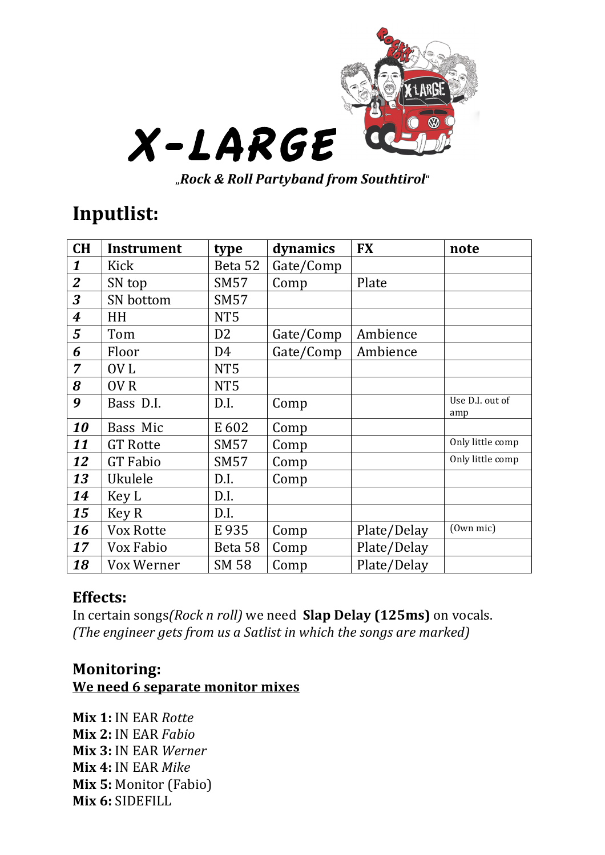

"*Rock%&%Roll%Partyband%from%Southtirol*"

## **Inputlist:**

| <b>CH</b>        | <b>Instrument</b> | type            | dynamics  | <b>FX</b>   | note                   |
|------------------|-------------------|-----------------|-----------|-------------|------------------------|
| $\boldsymbol{1}$ | Kick              | Beta 52         | Gate/Comp |             |                        |
| $\overline{2}$   | SN top            | SM57            | Comp      | Plate       |                        |
| 3                | <b>SN</b> bottom  | SM57            |           |             |                        |
| $\boldsymbol{4}$ | HH                | NT <sub>5</sub> |           |             |                        |
| 5                | Tom               | D <sub>2</sub>  | Gate/Comp | Ambience    |                        |
| 6                | Floor             | D <sub>4</sub>  | Gate/Comp | Ambience    |                        |
| $\overline{7}$   | OV <sub>L</sub>   | NT <sub>5</sub> |           |             |                        |
| 8                | OV <sub>R</sub>   | NT <sub>5</sub> |           |             |                        |
| 9                | Bass D.I.         | D.I.            | Comp      |             | Use D.I. out of<br>amp |
| 10               | Bass Mic          | E 602           | Comp      |             |                        |
| 11               | <b>GT Rotte</b>   | <b>SM57</b>     | Comp      |             | Only little comp       |
| 12               | <b>GT</b> Fabio   | SM57            | Comp      |             | Only little comp       |
| 13               | Ukulele           | D.I.            | Comp      |             |                        |
| 14               | Key L             | D.I.            |           |             |                        |
| 15               | Key R             | D.I.            |           |             |                        |
| 16               | Vox Rotte         | E 935           | Comp      | Plate/Delay | (Own mic)              |
| 17               | Vox Fabio         | Beta 58         | Comp      | Plate/Delay |                        |
| 18               | Vox Werner        | <b>SM 58</b>    | Comp      | Plate/Delay |                        |

## **Effects:**

In certain songs*(Rock n roll)* we need **Slap Delay (125ms)** on vocals. *(The engineer gets from us a Satlist in which the songs are marked)* 

## **Monitoring: We need 6 separate monitor mixes**

**Mix\*1:** IN!EAR!*Rotte* **Mix\*2:** IN!EAR!*Fabio* **Mix\*3:** IN!EAR!*Werner* **Mix 4: IN EAR Mike Mix 5: Monitor (Fabio)** Mix 6: SIDEFILL